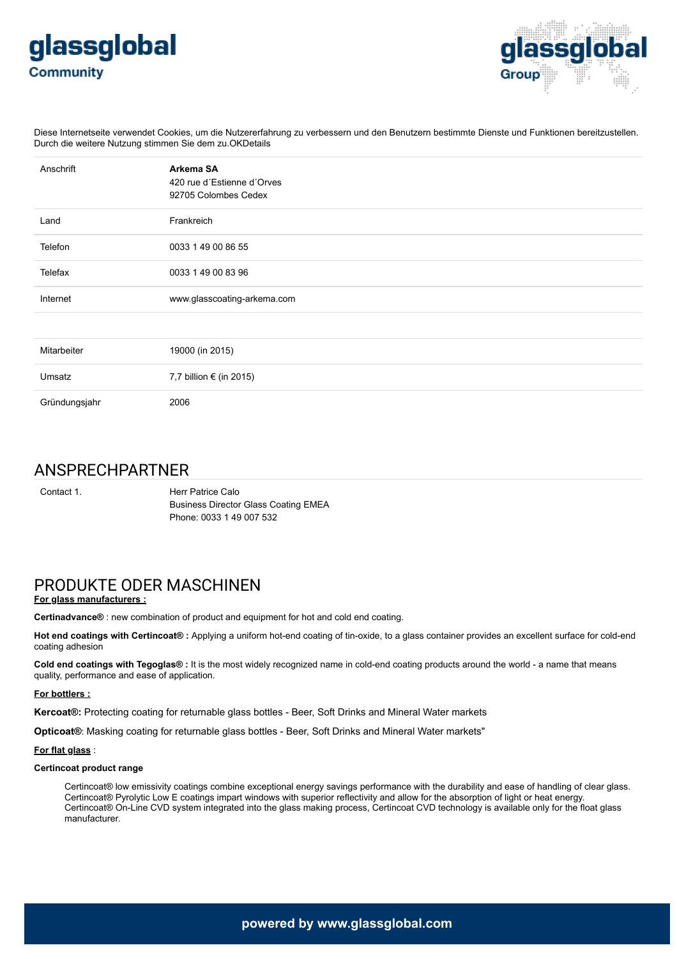



Diese Internetseite verwendet Cookies, um die Nutzererfahrung zu verbessern und den Benutzern bestimmte Dienste und Funktionen bereitzustellen. Durch die weitere Nutzung stimmen Sie dem zu.OKDetails

| Anschrift     | Arkema SA<br>420 rue d'Estienne d'Orves<br>92705 Colombes Cedex |
|---------------|-----------------------------------------------------------------|
| Land          | Frankreich                                                      |
| Telefon       | 0033 1 49 00 86 55                                              |
| Telefax       | 0033 1 49 00 83 96                                              |
| Internet      | www.glasscoating-arkema.com                                     |
|               |                                                                 |
| Mitarbeiter   | 19000 (in 2015)                                                 |
| Umsatz        | 7,7 billion € (in 2015)                                         |
| Gründungsjahr | 2006                                                            |

## ANSPRECHPARTNER

Contact 1. **Herr Patrice Calo** Business Director Glass Coating EMEA Phone: 0033 1 49 007 532

## PRODUKTE ODER MASCHINEN

## **For glass manufacturers :**

**Certinadvance®** : new combination of product and equipment for hot and cold end coating.

**Hot end coatings with Certincoat® :** Applying a uniform hot-end coating of tin-oxide, to a glass container provides an excellent surface for cold-end coating adhesion

**Cold end coatings with Tegoglas® :** It is the most widely recognized name in cold-end coating products around the world - a name that means quality, performance and ease of application.

#### **For bottlers :**

**Kercoat®:** Protecting coating for returnable glass bottles - Beer, Soft Drinks and Mineral Water markets

**Opticoat®**: Masking coating for returnable glass bottles - Beer, Soft Drinks and Mineral Water markets"

#### **For flat glass** :

#### **Certincoat product range**

Certincoat® low emissivity coatings combine exceptional energy savings performance with the durability and ease of handling of clear glass. Certincoat® Pyrolytic Low E coatings impart windows with superior reflectivity and allow for the absorption of light or heat energy. Certincoat® On-Line CVD system integrated into the glass making process, Certincoat CVD technology is available only for the float glass manufacturer.